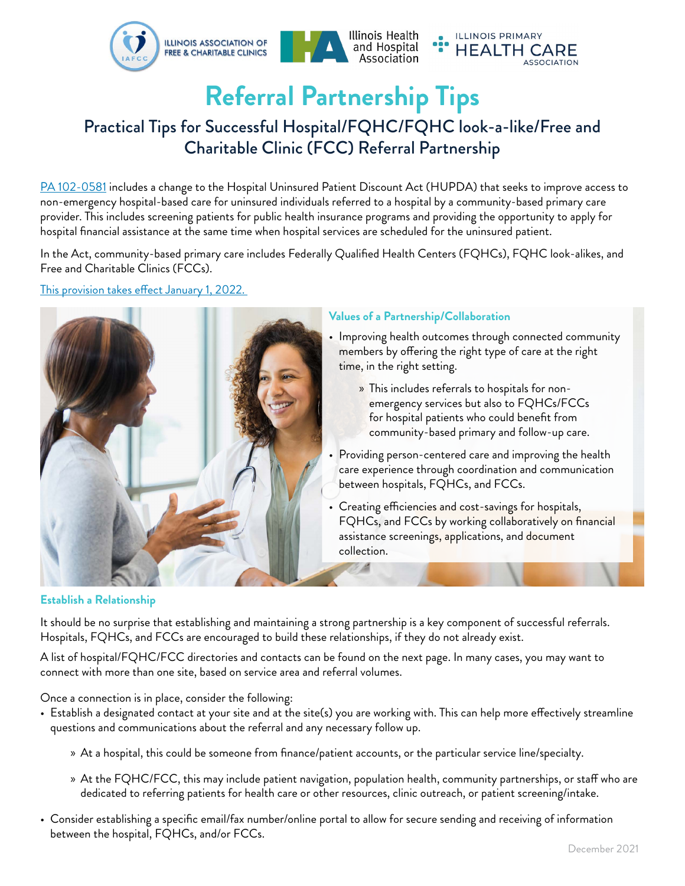

# **Referral Partnership Tips**

# Practical Tips for Successful Hospital/FQHC/FQHC look-a-like/Free and Charitable Clinic (FCC) Referral Partnership

[PA 102-0581 i](https://www.ilga.gov/legislation/publicacts/fulltext.asp?Name=102-0581)ncludes a change to the Hospital Uninsured Patient Discount Act (HUPDA) that seeks to improve access to non-emergency hospital-based care for uninsured individuals referred to a hospital by a community-based primary care provider. This includes screening patients for public health insurance programs and providing the opportunity to apply for hospital financial assistance at the same time when hospital services are scheduled for the uninsured patient.

In the Act, community-based primary care includes Federally Qualified Health Centers (FQHCs), FQHC look-alikes, and Free and Charitable Clinics (FCCs).

[This provision takes effect January 1, 2022.](https://www.ilga.gov/legislation/publicacts/102/PDF/102-0581.pdf#page=15) 



# **Values of a Partnership/Collaboration**

- Improving health outcomes through connected community members by offering the right type of care at the right time, in the right setting.
	- » This includes referrals to hospitals for nonemergency services but also to FQHCs/FCCs for hospital patients who could benefit from community-based primary and follow-up care.
- Providing person-centered care and improving the health care experience through coordination and communication between hospitals, FQHCs, and FCCs.
- Creating efficiencies and cost-savings for hospitals, FQHCs, and FCCs by working collaboratively on financial assistance screenings, applications, and document collection.

# **Establish a Relationship**

It should be no surprise that establishing and maintaining a strong partnership is a key component of successful referrals. Hospitals, FQHCs, and FCCs are encouraged to build these relationships, if they do not already exist.

A list of hospital/FQHC/FCC directories and contacts can be found on the next page. In many cases, you may want to connect with more than one site, based on service area and referral volumes.

Once a connection is in place, consider the following:

- Establish a designated contact at your site and at the site(s) you are working with. This can help more effectively streamline questions and communications about the referral and any necessary follow up.
	- » At a hospital, this could be someone from finance/patient accounts, or the particular service line/specialty.
	- » At the FQHC/FCC, this may include patient navigation, population health, community partnerships, or staff who are dedicated to referring patients for health care or other resources, clinic outreach, or patient screening/intake.
- Consider establishing a specific email/fax number/online portal to allow for secure sending and receiving of information between the hospital, FQHCs, and/or FCCs.